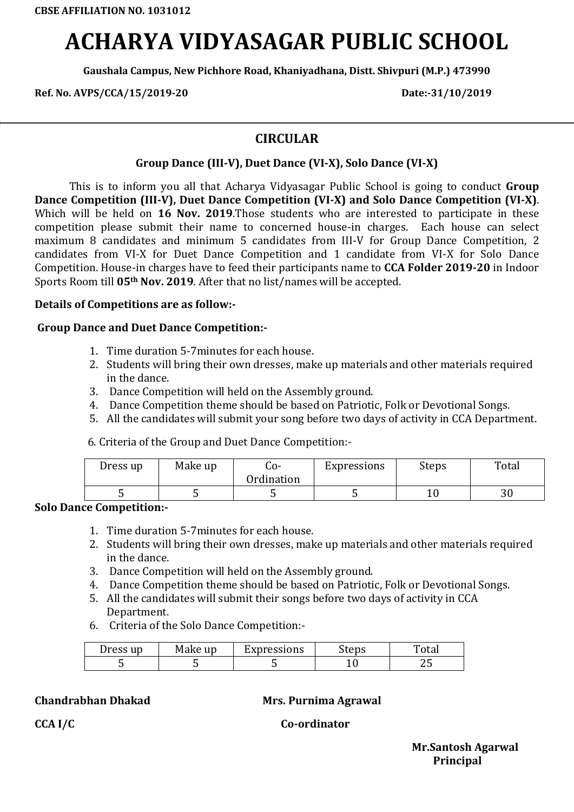# **ACHARYA VIDYASAGAR PUBLIC SCHOOL**

**Gaushala Campus, New Pichhore Road, Khaniyadhana, Distt. Shivpuri (M.P.) 473990**

**Ref. No. AVPS/CCA/15/2019-20 Date:-31/10/2019**

### **CIRCULAR**

#### **Group Dance (III-V), Duet Dance (VI-X), Solo Dance (VI-X)**

This is to inform you all that Acharya Vidyasagar Public School is going to conduct **Group Dance Competition (III-V), Duet Dance Competition (VI-X) and Solo Dance Competition (VI-X)**. Which will be held on **16 Nov. 2019**.Those students who are interested to participate in these competition please submit their name to concerned house-in charges. Each house can select maximum 8 candidates and minimum 5 candidates from III-V for Group Dance Competition, 2 candidates from VI-X for Duet Dance Competition and 1 candidate from VI-X for Solo Dance Competition. House-in charges have to feed their participants name to **CCA Folder 2019-20** in Indoor Sports Room till **05th Nov. 2019**. After that no list/names will be accepted.

#### **Details of Competitions are as follow:-**

#### **Group Dance and Duet Dance Competition:-**

- 1. Time duration 5-7minutes for each house.
- 2. Students will bring their own dresses, make up materials and other materials required in the dance.
- 3. Dance Competition will held on the Assembly ground.
- 4. Dance Competition theme should be based on Patriotic, Folk or Devotional Songs.
- 5. All the candidates will submit your song before two days of activity in CCA Department.

6. Criteria of the Group and Duet Dance Competition:-

| Dress up | Make up | -0ب<br>Ordination | Expressions | Steps | Total   |
|----------|---------|-------------------|-------------|-------|---------|
|          |         |                   |             |       | ີ<br>υv |

#### **Solo Dance Competition:-**

- 1. Time duration 5-7minutes for each house.
- 2. Students will bring their own dresses, make up materials and other materials required in the dance.
- 3. Dance Competition will held on the Assembly ground.
- 4. Dance Competition theme should be based on Patriotic, Folk or Devotional Songs.
- 5. All the candidates will submit their songs before two days of activity in CCA Department.
- 6. Criteria of the Solo Dance Competition:-

| Dress up | Make up | Expressions | Steps | Total |
|----------|---------|-------------|-------|-------|
|          |         |             |       | ر ب   |

**Chandrabhan Dhakad Mrs. Purnima Agrawal**

CCA I/C CO-ordinator